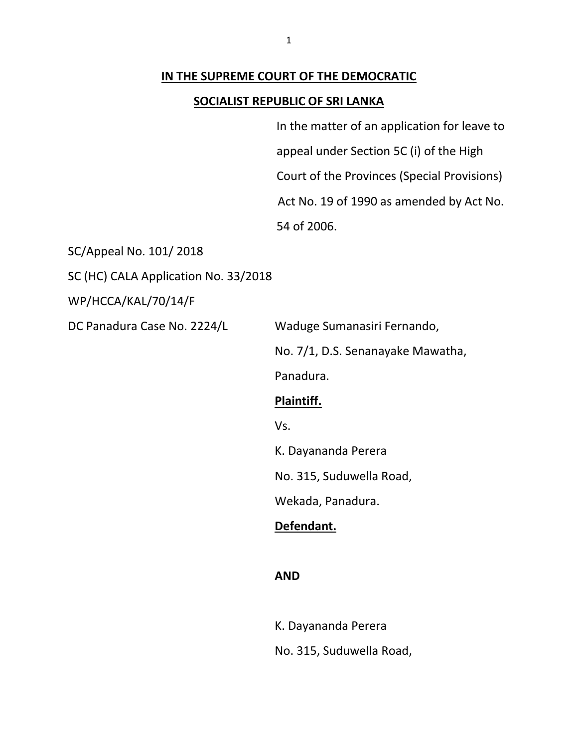#### **IN THE SUPREME COURT OF THE DEMOCRATIC**

#### **SOCIALIST REPUBLIC OF SRI LANKA**

In the matter of an application for leave to appeal under Section 5C (i) of the High Court of the Provinces (Special Provisions) Act No. 19 of 1990 as amended by Act No. 54 of 2006.

SC/Appeal No. 101/ 2018

SC (HC) CALA Application No. 33/2018

WP/HCCA/KAL/70/14/F

DC Panadura Case No. 2224/L Waduge Sumanasiri Fernando,

No. 7/1, D.S. Senanayake Mawatha,

Panadura.

## **Plaintiff.**

Vs.

K. Dayananda Perera

No. 315, Suduwella Road,

Wekada, Panadura.

## **Defendant.**

#### **AND**

K. Dayananda Perera No. 315, Suduwella Road,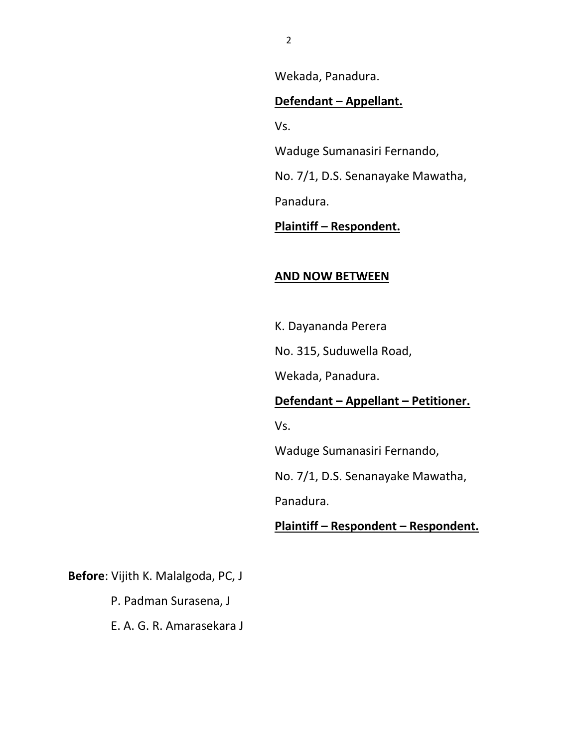Wekada, Panadura.

### **Defendant – Appellant.**

Vs.

Waduge Sumanasiri Fernando,

No. 7/1, D.S. Senanayake Mawatha,

Panadura.

**Plaintiff – Respondent.**

## **AND NOW BETWEEN**

K. Dayananda Perera

No. 315, Suduwella Road,

Wekada, Panadura.

**Defendant – Appellant – Petitioner.**

Vs.

Waduge Sumanasiri Fernando,

No. 7/1, D.S. Senanayake Mawatha,

Panadura.

**Plaintiff – Respondent – Respondent.**

**Before**: Vijith K. Malalgoda, PC, J

P. Padman Surasena, J

E. A. G. R. Amarasekara J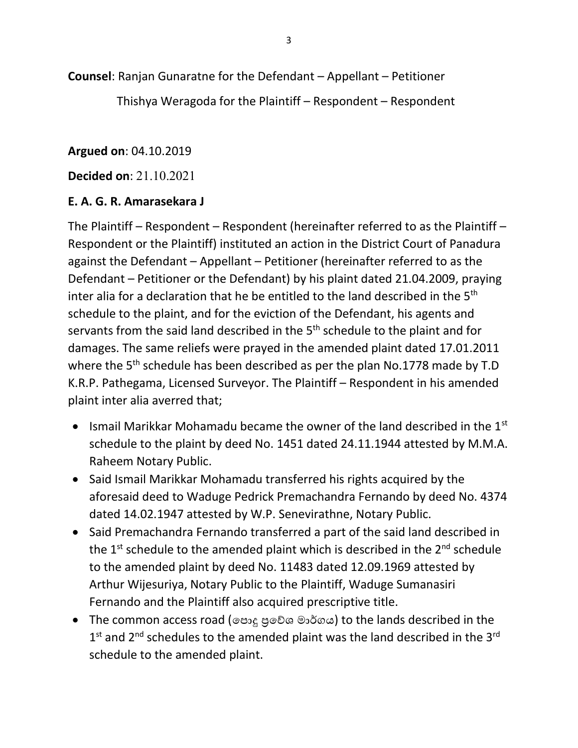**Counsel**: Ranjan Gunaratne for the Defendant – Appellant – Petitioner

Thishya Weragoda for the Plaintiff – Respondent – Respondent

**Argued on**: 04.10.2019

**Decided on**: 21.10.2021

# **E. A. G. R. Amarasekara J**

The Plaintiff – Respondent – Respondent (hereinafter referred to as the Plaintiff – Respondent or the Plaintiff) instituted an action in the District Court of Panadura against the Defendant – Appellant – Petitioner (hereinafter referred to as the Defendant – Petitioner or the Defendant) by his plaint dated 21.04.2009, praying inter alia for a declaration that he be entitled to the land described in the  $5<sup>th</sup>$ schedule to the plaint, and for the eviction of the Defendant, his agents and servants from the said land described in the 5<sup>th</sup> schedule to the plaint and for damages. The same reliefs were prayed in the amended plaint dated 17.01.2011 where the 5<sup>th</sup> schedule has been described as per the plan No.1778 made by T.D K.R.P. Pathegama, Licensed Surveyor. The Plaintiff – Respondent in his amended plaint inter alia averred that;

- Ismail Marikkar Mohamadu became the owner of the land described in the  $1<sup>st</sup>$ schedule to the plaint by deed No. 1451 dated 24.11.1944 attested by M.M.A. Raheem Notary Public.
- Said Ismail Marikkar Mohamadu transferred his rights acquired by the aforesaid deed to Waduge Pedrick Premachandra Fernando by deed No. 4374 dated 14.02.1947 attested by W.P. Senevirathne, Notary Public.
- Said Premachandra Fernando transferred a part of the said land described in the  $1<sup>st</sup>$  schedule to the amended plaint which is described in the  $2<sup>nd</sup>$  schedule to the amended plaint by deed No. 11483 dated 12.09.1969 attested by Arthur Wijesuriya, Notary Public to the Plaintiff, Waduge Sumanasiri Fernando and the Plaintiff also acquired prescriptive title.
- The common access road (පොදු පුවේශ මාර්ගය) to the lands described in the  $1<sup>st</sup>$  and  $2<sup>nd</sup>$  schedules to the amended plaint was the land described in the  $3<sup>rd</sup>$ schedule to the amended plaint.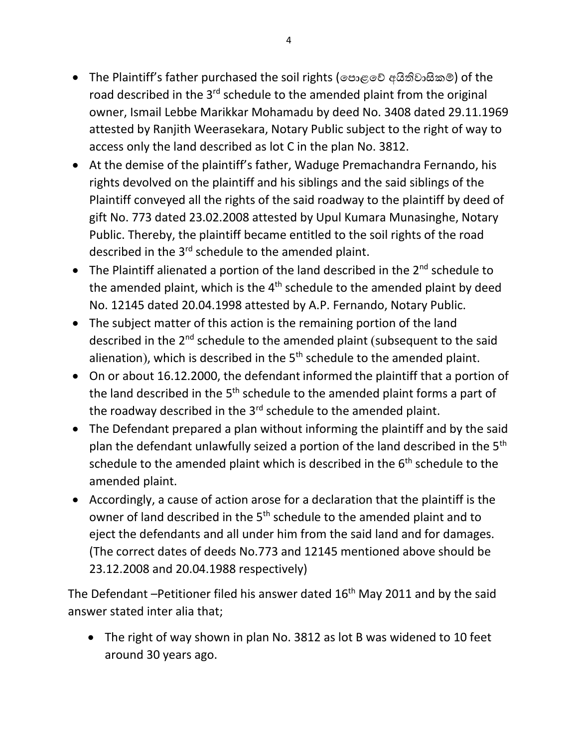- The Plaintiff's father purchased the soil rights (පොළවේ අයිතිවාසිකම්) of the road described in the 3<sup>rd</sup> schedule to the amended plaint from the original owner, Ismail Lebbe Marikkar Mohamadu by deed No. 3408 dated 29.11.1969 attested by Ranjith Weerasekara, Notary Public subject to the right of way to access only the land described as lot C in the plan No. 3812.
- At the demise of the plaintiff's father, Waduge Premachandra Fernando, his rights devolved on the plaintiff and his siblings and the said siblings of the Plaintiff conveyed all the rights of the said roadway to the plaintiff by deed of gift No. 773 dated 23.02.2008 attested by Upul Kumara Munasinghe, Notary Public. Thereby, the plaintiff became entitled to the soil rights of the road described in the 3<sup>rd</sup> schedule to the amended plaint.
- The Plaintiff alienated a portion of the land described in the  $2^{nd}$  schedule to the amended plaint, which is the  $4<sup>th</sup>$  schedule to the amended plaint by deed No. 12145 dated 20.04.1998 attested by A.P. Fernando, Notary Public.
- The subject matter of this action is the remaining portion of the land described in the 2<sup>nd</sup> schedule to the amended plaint (subsequent to the said alienation), which is described in the  $5<sup>th</sup>$  schedule to the amended plaint.
- On or about 16.12.2000, the defendant informed the plaintiff that a portion of the land described in the  $5<sup>th</sup>$  schedule to the amended plaint forms a part of the roadway described in the 3<sup>rd</sup> schedule to the amended plaint.
- The Defendant prepared a plan without informing the plaintiff and by the said plan the defendant unlawfully seized a portion of the land described in the 5<sup>th</sup> schedule to the amended plaint which is described in the  $6<sup>th</sup>$  schedule to the amended plaint.
- Accordingly, a cause of action arose for a declaration that the plaintiff is the owner of land described in the 5<sup>th</sup> schedule to the amended plaint and to eject the defendants and all under him from the said land and for damages. (The correct dates of deeds No.773 and 12145 mentioned above should be 23.12.2008 and 20.04.1988 respectively)

The Defendant –Petitioner filed his answer dated  $16<sup>th</sup>$  May 2011 and by the said answer stated inter alia that;

• The right of way shown in plan No. 3812 as lot B was widened to 10 feet around 30 years ago.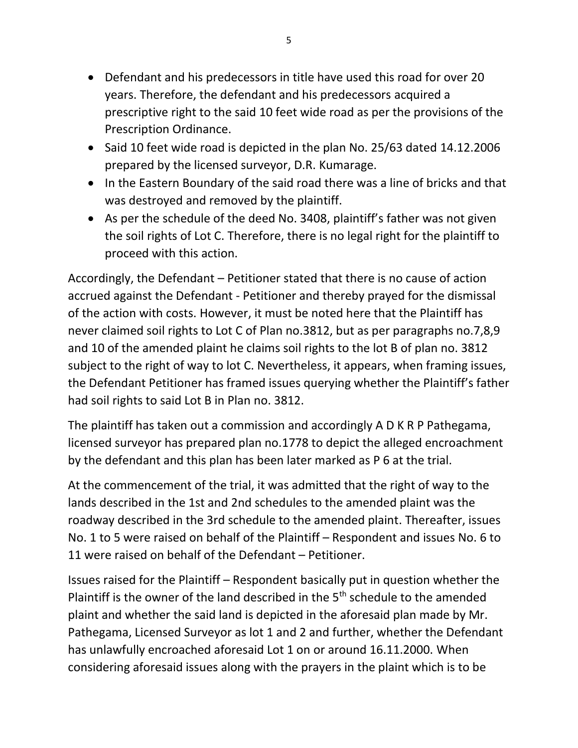- Defendant and his predecessors in title have used this road for over 20 years. Therefore, the defendant and his predecessors acquired a prescriptive right to the said 10 feet wide road as per the provisions of the Prescription Ordinance.
- Said 10 feet wide road is depicted in the plan No. 25/63 dated 14.12.2006 prepared by the licensed surveyor, D.R. Kumarage.
- In the Eastern Boundary of the said road there was a line of bricks and that was destroyed and removed by the plaintiff.
- As per the schedule of the deed No. 3408, plaintiff's father was not given the soil rights of Lot C. Therefore, there is no legal right for the plaintiff to proceed with this action.

Accordingly, the Defendant – Petitioner stated that there is no cause of action accrued against the Defendant - Petitioner and thereby prayed for the dismissal of the action with costs. However, it must be noted here that the Plaintiff has never claimed soil rights to Lot C of Plan no.3812, but as per paragraphs no.7,8,9 and 10 of the amended plaint he claims soil rights to the lot B of plan no. 3812 subject to the right of way to lot C. Nevertheless, it appears, when framing issues, the Defendant Petitioner has framed issues querying whether the Plaintiff's father had soil rights to said Lot B in Plan no. 3812.

The plaintiff has taken out a commission and accordingly A D K R P Pathegama, licensed surveyor has prepared plan no.1778 to depict the alleged encroachment by the defendant and this plan has been later marked as P 6 at the trial.

At the commencement of the trial, it was admitted that the right of way to the lands described in the 1st and 2nd schedules to the amended plaint was the roadway described in the 3rd schedule to the amended plaint. Thereafter, issues No. 1 to 5 were raised on behalf of the Plaintiff – Respondent and issues No. 6 to 11 were raised on behalf of the Defendant – Petitioner.

Issues raised for the Plaintiff – Respondent basically put in question whether the Plaintiff is the owner of the land described in the  $5<sup>th</sup>$  schedule to the amended plaint and whether the said land is depicted in the aforesaid plan made by Mr. Pathegama, Licensed Surveyor as lot 1 and 2 and further, whether the Defendant has unlawfully encroached aforesaid Lot 1 on or around 16.11.2000. When considering aforesaid issues along with the prayers in the plaint which is to be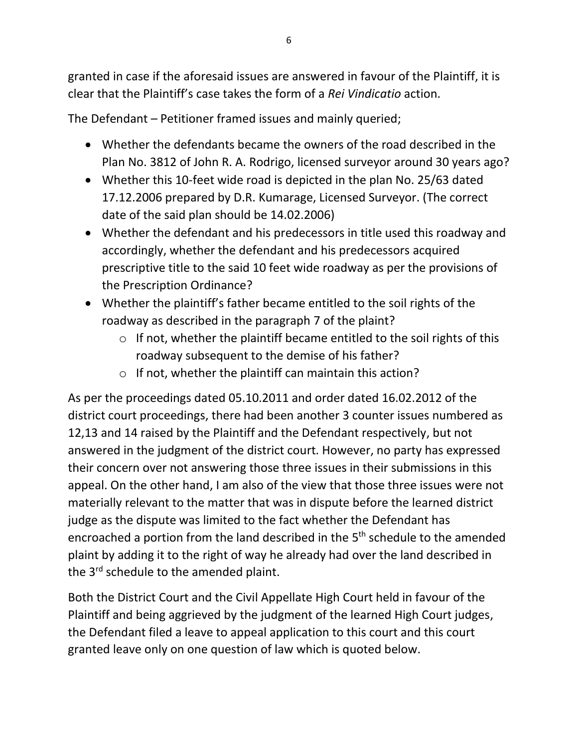granted in case if the aforesaid issues are answered in favour of the Plaintiff, it is clear that the Plaintiff's case takes the form of a *Rei Vindicatio* action.

The Defendant – Petitioner framed issues and mainly queried;

- Whether the defendants became the owners of the road described in the Plan No. 3812 of John R. A. Rodrigo, licensed surveyor around 30 years ago?
- Whether this 10-feet wide road is depicted in the plan No. 25/63 dated 17.12.2006 prepared by D.R. Kumarage, Licensed Surveyor. (The correct date of the said plan should be 14.02.2006)
- Whether the defendant and his predecessors in title used this roadway and accordingly, whether the defendant and his predecessors acquired prescriptive title to the said 10 feet wide roadway as per the provisions of the Prescription Ordinance?
- Whether the plaintiff's father became entitled to the soil rights of the roadway as described in the paragraph 7 of the plaint?
	- $\circ$  If not, whether the plaintiff became entitled to the soil rights of this roadway subsequent to the demise of his father?
	- $\circ$  If not, whether the plaintiff can maintain this action?

As per the proceedings dated 05.10.2011 and order dated 16.02.2012 of the district court proceedings, there had been another 3 counter issues numbered as 12,13 and 14 raised by the Plaintiff and the Defendant respectively, but not answered in the judgment of the district court. However, no party has expressed their concern over not answering those three issues in their submissions in this appeal. On the other hand, I am also of the view that those three issues were not materially relevant to the matter that was in dispute before the learned district judge as the dispute was limited to the fact whether the Defendant has encroached a portion from the land described in the 5<sup>th</sup> schedule to the amended plaint by adding it to the right of way he already had over the land described in the 3<sup>rd</sup> schedule to the amended plaint.

Both the District Court and the Civil Appellate High Court held in favour of the Plaintiff and being aggrieved by the judgment of the learned High Court judges, the Defendant filed a leave to appeal application to this court and this court granted leave only on one question of law which is quoted below.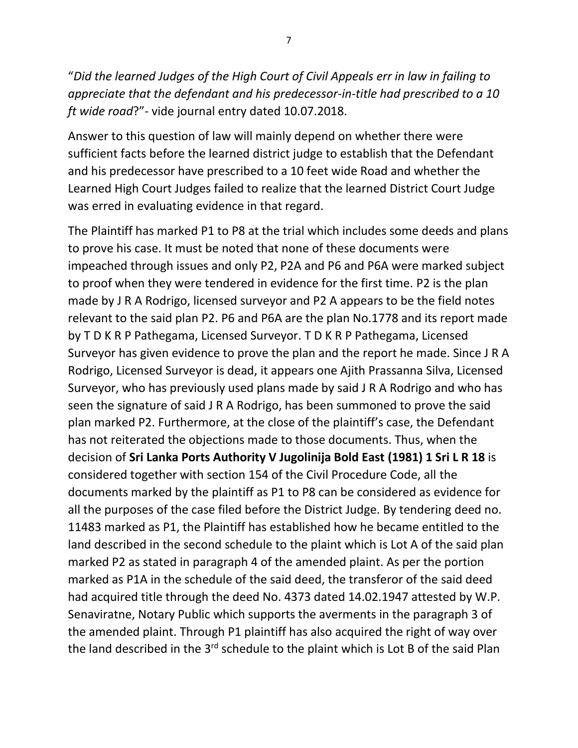"*Did the learned Judges of the High Court of Civil Appeals err in law in failing to appreciate that the defendant and his predecessor-in-title had prescribed to a 10 ft wide road*?"- vide journal entry dated 10.07.2018.

Answer to this question of law will mainly depend on whether there were sufficient facts before the learned district judge to establish that the Defendant and his predecessor have prescribed to a 10 feet wide Road and whether the Learned High Court Judges failed to realize that the learned District Court Judge was erred in evaluating evidence in that regard.

The Plaintiff has marked P1 to P8 at the trial which includes some deeds and plans to prove his case. It must be noted that none of these documents were impeached through issues and only P2, P2A and P6 and P6A were marked subject to proof when they were tendered in evidence for the first time. P2 is the plan made by J R A Rodrigo, licensed surveyor and P2 A appears to be the field notes relevant to the said plan P2. P6 and P6A are the plan No.1778 and its report made by T D K R P Pathegama, Licensed Surveyor. T D K R P Pathegama, Licensed Surveyor has given evidence to prove the plan and the report he made. Since J R A Rodrigo, Licensed Surveyor is dead, it appears one Ajith Prassanna Silva, Licensed Surveyor, who has previously used plans made by said J R A Rodrigo and who has seen the signature of said J R A Rodrigo, has been summoned to prove the said plan marked P2. Furthermore, at the close of the plaintiff's case, the Defendant has not reiterated the objections made to those documents. Thus, when the decision of **Sri Lanka Ports Authority V Jugolinija Bold East (1981) 1 Sri L R 18** is considered together with section 154 of the Civil Procedure Code, all the documents marked by the plaintiff as P1 to P8 can be considered as evidence for all the purposes of the case filed before the District Judge. By tendering deed no. 11483 marked as P1, the Plaintiff has established how he became entitled to the land described in the second schedule to the plaint which is Lot A of the said plan marked P2 as stated in paragraph 4 of the amended plaint. As per the portion marked as P1A in the schedule of the said deed, the transferor of the said deed had acquired title through the deed No. 4373 dated 14.02.1947 attested by W.P. Senaviratne, Notary Public which supports the averments in the paragraph 3 of the amended plaint. Through P1 plaintiff has also acquired the right of way over the land described in the 3<sup>rd</sup> schedule to the plaint which is Lot B of the said Plan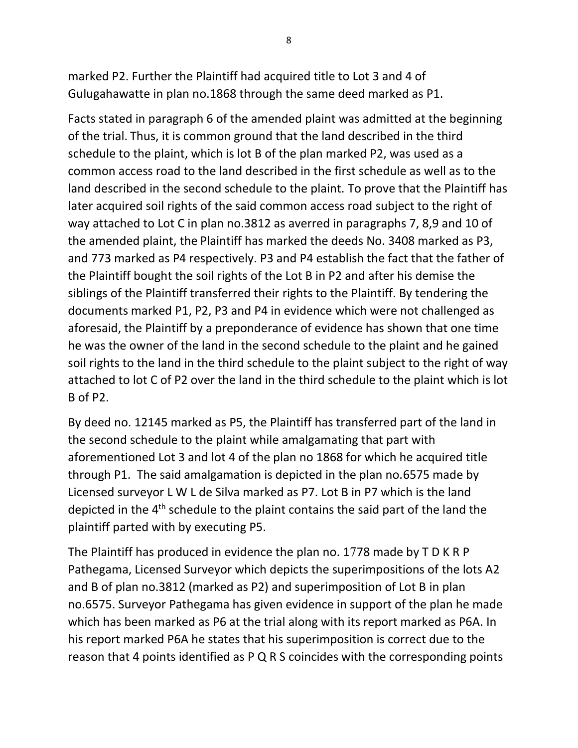marked P2. Further the Plaintiff had acquired title to Lot 3 and 4 of Gulugahawatte in plan no.1868 through the same deed marked as P1.

Facts stated in paragraph 6 of the amended plaint was admitted at the beginning of the trial. Thus, it is common ground that the land described in the third schedule to the plaint, which is lot B of the plan marked P2, was used as a common access road to the land described in the first schedule as well as to the land described in the second schedule to the plaint. To prove that the Plaintiff has later acquired soil rights of the said common access road subject to the right of way attached to Lot C in plan no.3812 as averred in paragraphs 7, 8,9 and 10 of the amended plaint, the Plaintiff has marked the deeds No. 3408 marked as P3, and 773 marked as P4 respectively. P3 and P4 establish the fact that the father of the Plaintiff bought the soil rights of the Lot B in P2 and after his demise the siblings of the Plaintiff transferred their rights to the Plaintiff. By tendering the documents marked P1, P2, P3 and P4 in evidence which were not challenged as aforesaid, the Plaintiff by a preponderance of evidence has shown that one time he was the owner of the land in the second schedule to the plaint and he gained soil rights to the land in the third schedule to the plaint subject to the right of way attached to lot C of P2 over the land in the third schedule to the plaint which is lot B of P2.

By deed no. 12145 marked as P5, the Plaintiff has transferred part of the land in the second schedule to the plaint while amalgamating that part with aforementioned Lot 3 and lot 4 of the plan no 1868 for which he acquired title through P1. The said amalgamation is depicted in the plan no.6575 made by Licensed surveyor L W L de Silva marked as P7. Lot B in P7 which is the land depicted in the 4<sup>th</sup> schedule to the plaint contains the said part of the land the plaintiff parted with by executing P5.

The Plaintiff has produced in evidence the plan no. 1778 made by T D K R P Pathegama, Licensed Surveyor which depicts the superimpositions of the lots A2 and B of plan no.3812 (marked as P2) and superimposition of Lot B in plan no.6575. Surveyor Pathegama has given evidence in support of the plan he made which has been marked as P6 at the trial along with its report marked as P6A. In his report marked P6A he states that his superimposition is correct due to the reason that 4 points identified as P Q R S coincides with the corresponding points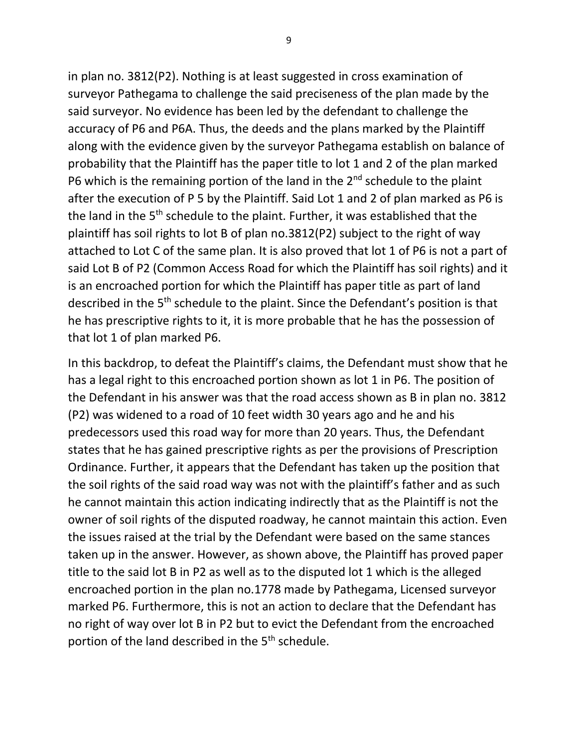in plan no. 3812(P2). Nothing is at least suggested in cross examination of surveyor Pathegama to challenge the said preciseness of the plan made by the said surveyor. No evidence has been led by the defendant to challenge the accuracy of P6 and P6A. Thus, the deeds and the plans marked by the Plaintiff along with the evidence given by the surveyor Pathegama establish on balance of probability that the Plaintiff has the paper title to lot 1 and 2 of the plan marked P6 which is the remaining portion of the land in the  $2^{nd}$  schedule to the plaint after the execution of P 5 by the Plaintiff. Said Lot 1 and 2 of plan marked as P6 is the land in the 5<sup>th</sup> schedule to the plaint. Further, it was established that the plaintiff has soil rights to lot B of plan no.3812(P2) subject to the right of way attached to Lot C of the same plan. It is also proved that lot 1 of P6 is not a part of said Lot B of P2 (Common Access Road for which the Plaintiff has soil rights) and it is an encroached portion for which the Plaintiff has paper title as part of land described in the 5th schedule to the plaint. Since the Defendant's position is that he has prescriptive rights to it, it is more probable that he has the possession of that lot 1 of plan marked P6.

In this backdrop, to defeat the Plaintiff's claims, the Defendant must show that he has a legal right to this encroached portion shown as lot 1 in P6. The position of the Defendant in his answer was that the road access shown as B in plan no. 3812 (P2) was widened to a road of 10 feet width 30 years ago and he and his predecessors used this road way for more than 20 years. Thus, the Defendant states that he has gained prescriptive rights as per the provisions of Prescription Ordinance. Further, it appears that the Defendant has taken up the position that the soil rights of the said road way was not with the plaintiff's father and as such he cannot maintain this action indicating indirectly that as the Plaintiff is not the owner of soil rights of the disputed roadway, he cannot maintain this action. Even the issues raised at the trial by the Defendant were based on the same stances taken up in the answer. However, as shown above, the Plaintiff has proved paper title to the said lot B in P2 as well as to the disputed lot 1 which is the alleged encroached portion in the plan no.1778 made by Pathegama, Licensed surveyor marked P6. Furthermore, this is not an action to declare that the Defendant has no right of way over lot B in P2 but to evict the Defendant from the encroached portion of the land described in the 5<sup>th</sup> schedule.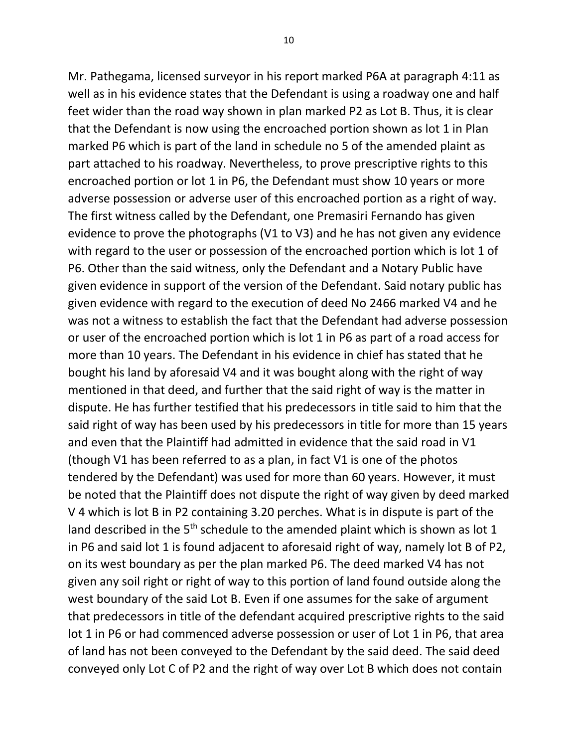Mr. Pathegama, licensed surveyor in his report marked P6A at paragraph 4:11 as well as in his evidence states that the Defendant is using a roadway one and half feet wider than the road way shown in plan marked P2 as Lot B. Thus, it is clear that the Defendant is now using the encroached portion shown as lot 1 in Plan marked P6 which is part of the land in schedule no 5 of the amended plaint as part attached to his roadway. Nevertheless, to prove prescriptive rights to this encroached portion or lot 1 in P6, the Defendant must show 10 years or more adverse possession or adverse user of this encroached portion as a right of way. The first witness called by the Defendant, one Premasiri Fernando has given evidence to prove the photographs (V1 to V3) and he has not given any evidence with regard to the user or possession of the encroached portion which is lot 1 of P6. Other than the said witness, only the Defendant and a Notary Public have given evidence in support of the version of the Defendant. Said notary public has given evidence with regard to the execution of deed No 2466 marked V4 and he was not a witness to establish the fact that the Defendant had adverse possession or user of the encroached portion which is lot 1 in P6 as part of a road access for more than 10 years. The Defendant in his evidence in chief has stated that he bought his land by aforesaid V4 and it was bought along with the right of way mentioned in that deed, and further that the said right of way is the matter in dispute. He has further testified that his predecessors in title said to him that the said right of way has been used by his predecessors in title for more than 15 years and even that the Plaintiff had admitted in evidence that the said road in V1 (though V1 has been referred to as a plan, in fact V1 is one of the photos tendered by the Defendant) was used for more than 60 years. However, it must be noted that the Plaintiff does not dispute the right of way given by deed marked V 4 which is lot B in P2 containing 3.20 perches. What is in dispute is part of the land described in the  $5<sup>th</sup>$  schedule to the amended plaint which is shown as lot 1 in P6 and said lot 1 is found adjacent to aforesaid right of way, namely lot B of P2, on its west boundary as per the plan marked P6. The deed marked V4 has not given any soil right or right of way to this portion of land found outside along the west boundary of the said Lot B. Even if one assumes for the sake of argument that predecessors in title of the defendant acquired prescriptive rights to the said lot 1 in P6 or had commenced adverse possession or user of Lot 1 in P6, that area of land has not been conveyed to the Defendant by the said deed. The said deed conveyed only Lot C of P2 and the right of way over Lot B which does not contain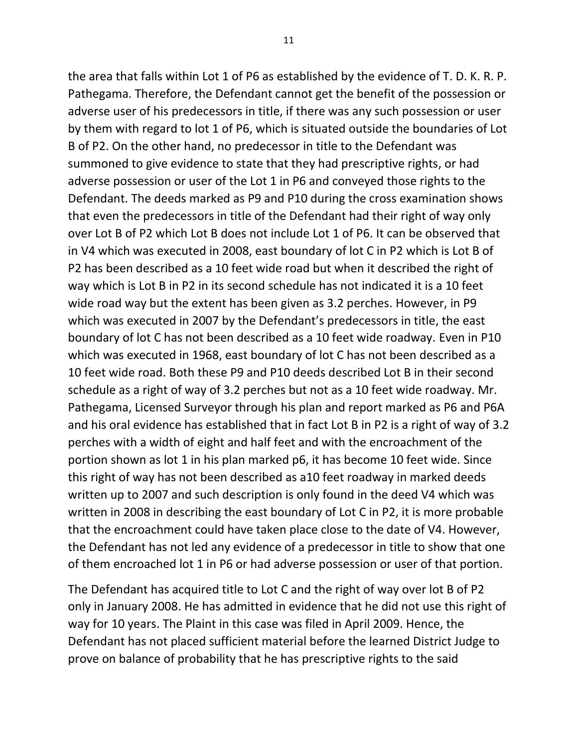the area that falls within Lot 1 of P6 as established by the evidence of T. D. K. R. P. Pathegama. Therefore, the Defendant cannot get the benefit of the possession or adverse user of his predecessors in title, if there was any such possession or user by them with regard to lot 1 of P6, which is situated outside the boundaries of Lot B of P2. On the other hand, no predecessor in title to the Defendant was summoned to give evidence to state that they had prescriptive rights, or had adverse possession or user of the Lot 1 in P6 and conveyed those rights to the Defendant. The deeds marked as P9 and P10 during the cross examination shows that even the predecessors in title of the Defendant had their right of way only over Lot B of P2 which Lot B does not include Lot 1 of P6. It can be observed that in V4 which was executed in 2008, east boundary of lot C in P2 which is Lot B of P2 has been described as a 10 feet wide road but when it described the right of way which is Lot B in P2 in its second schedule has not indicated it is a 10 feet wide road way but the extent has been given as 3.2 perches. However, in P9 which was executed in 2007 by the Defendant's predecessors in title, the east boundary of lot C has not been described as a 10 feet wide roadway. Even in P10 which was executed in 1968, east boundary of lot C has not been described as a 10 feet wide road. Both these P9 and P10 deeds described Lot B in their second schedule as a right of way of 3.2 perches but not as a 10 feet wide roadway. Mr. Pathegama, Licensed Surveyor through his plan and report marked as P6 and P6A and his oral evidence has established that in fact Lot B in P2 is a right of way of 3.2 perches with a width of eight and half feet and with the encroachment of the portion shown as lot 1 in his plan marked p6, it has become 10 feet wide. Since this right of way has not been described as a10 feet roadway in marked deeds written up to 2007 and such description is only found in the deed V4 which was written in 2008 in describing the east boundary of Lot C in P2, it is more probable that the encroachment could have taken place close to the date of V4. However, the Defendant has not led any evidence of a predecessor in title to show that one of them encroached lot 1 in P6 or had adverse possession or user of that portion.

The Defendant has acquired title to Lot C and the right of way over lot B of P2 only in January 2008. He has admitted in evidence that he did not use this right of way for 10 years. The Plaint in this case was filed in April 2009. Hence, the Defendant has not placed sufficient material before the learned District Judge to prove on balance of probability that he has prescriptive rights to the said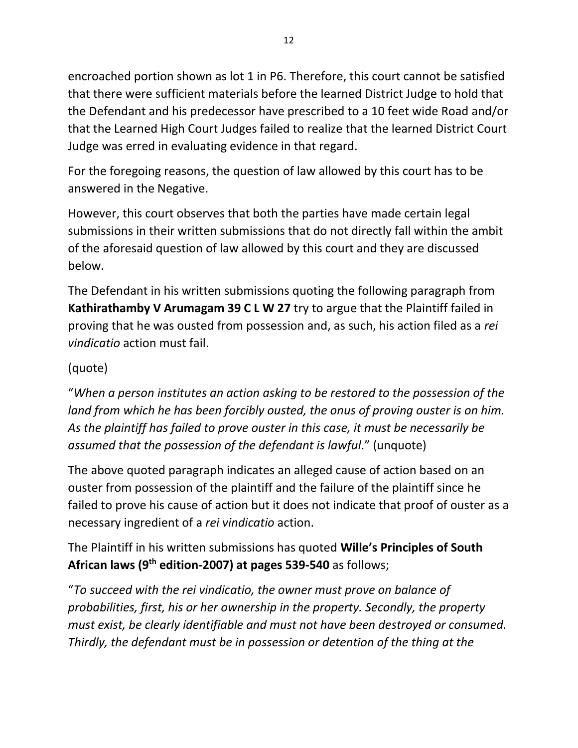encroached portion shown as lot 1 in P6. Therefore, this court cannot be satisfied that there were sufficient materials before the learned District Judge to hold that the Defendant and his predecessor have prescribed to a 10 feet wide Road and/or that the Learned High Court Judges failed to realize that the learned District Court Judge was erred in evaluating evidence in that regard.

For the foregoing reasons, the question of law allowed by this court has to be answered in the Negative.

However, this court observes that both the parties have made certain legal submissions in their written submissions that do not directly fall within the ambit of the aforesaid question of law allowed by this court and they are discussed below.

The Defendant in his written submissions quoting the following paragraph from **Kathirathamby V Arumagam 39 C L W 27** try to argue that the Plaintiff failed in proving that he was ousted from possession and, as such, his action filed as a *rei vindicatio* action must fail.

# (quote)

"*When a person institutes an action asking to be restored to the possession of the land from which he has been forcibly ousted, the onus of proving ouster is on him. As the plaintiff has failed to prove ouster in this case, it must be necessarily be assumed that the possession of the defendant is lawful*." (unquote)

The above quoted paragraph indicates an alleged cause of action based on an ouster from possession of the plaintiff and the failure of the plaintiff since he failed to prove his cause of action but it does not indicate that proof of ouster as a necessary ingredient of a *rei vindicatio* action.

The Plaintiff in his written submissions has quoted **Wille's Principles of South African laws (9th edition-2007) at pages 539-540** as follows;

"*To succeed with the rei vindicatio, the owner must prove on balance of probabilities, first, his or her ownership in the property. Secondly, the property must exist, be clearly identifiable and must not have been destroyed or consumed. Thirdly, the defendant must be in possession or detention of the thing at the*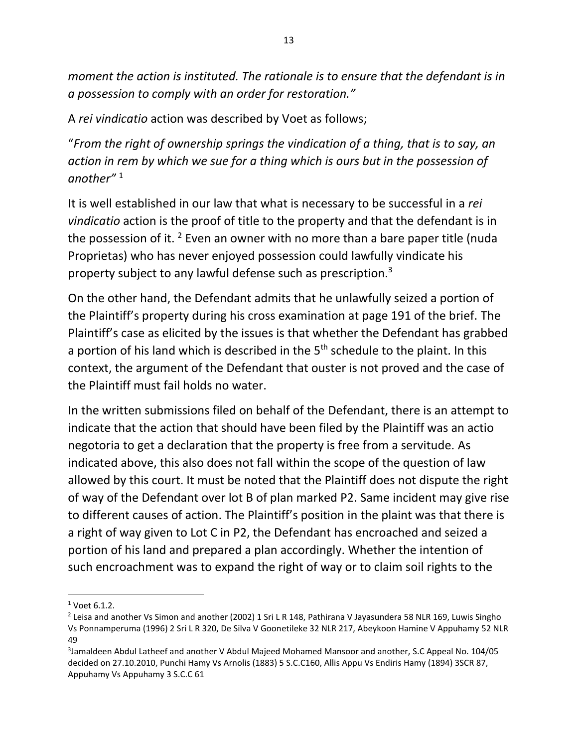*moment the action is instituted. The rationale is to ensure that the defendant is in a possession to comply with an order for restoration."*

A *rei vindicatio* action was described by Voet as follows;

"*From the right of ownership springs the vindication of a thing, that is to say, an action in rem by which we sue for a thing which is ours but in the possession of another"* <sup>1</sup>

It is well established in our law that what is necessary to be successful in a *rei vindicatio* action is the proof of title to the property and that the defendant is in the possession of it. <sup>2</sup> Even an owner with no more than a bare paper title (nuda Proprietas) who has never enjoyed possession could lawfully vindicate his property subject to any lawful defense such as prescription.<sup>3</sup>

On the other hand, the Defendant admits that he unlawfully seized a portion of the Plaintiff's property during his cross examination at page 191 of the brief. The Plaintiff's case as elicited by the issues is that whether the Defendant has grabbed a portion of his land which is described in the  $5<sup>th</sup>$  schedule to the plaint. In this context, the argument of the Defendant that ouster is not proved and the case of the Plaintiff must fail holds no water.

In the written submissions filed on behalf of the Defendant, there is an attempt to indicate that the action that should have been filed by the Plaintiff was an actio negotoria to get a declaration that the property is free from a servitude. As indicated above, this also does not fall within the scope of the question of law allowed by this court. It must be noted that the Plaintiff does not dispute the right of way of the Defendant over lot B of plan marked P2. Same incident may give rise to different causes of action. The Plaintiff's position in the plaint was that there is a right of way given to Lot C in P2, the Defendant has encroached and seized a portion of his land and prepared a plan accordingly. Whether the intention of such encroachment was to expand the right of way or to claim soil rights to the

<sup>1</sup> Voet 6.1.2.

<sup>&</sup>lt;sup>2</sup> Leisa and another Vs Simon and another (2002) 1 Sri L R 148, Pathirana V Jayasundera 58 NLR 169, Luwis Singho Vs Ponnamperuma (1996) 2 Sri L R 320, De Silva V Goonetileke 32 NLR 217, Abeykoon Hamine V Appuhamy 52 NLR 49

<sup>3</sup> Jamaldeen Abdul Latheef and another V Abdul Majeed Mohamed Mansoor and another, S.C Appeal No. 104/05 decided on 27.10.2010, Punchi Hamy Vs Arnolis (1883) 5 S.C.C160, Allis Appu Vs Endiris Hamy (1894) 3SCR 87, Appuhamy Vs Appuhamy 3 S.C.C 61